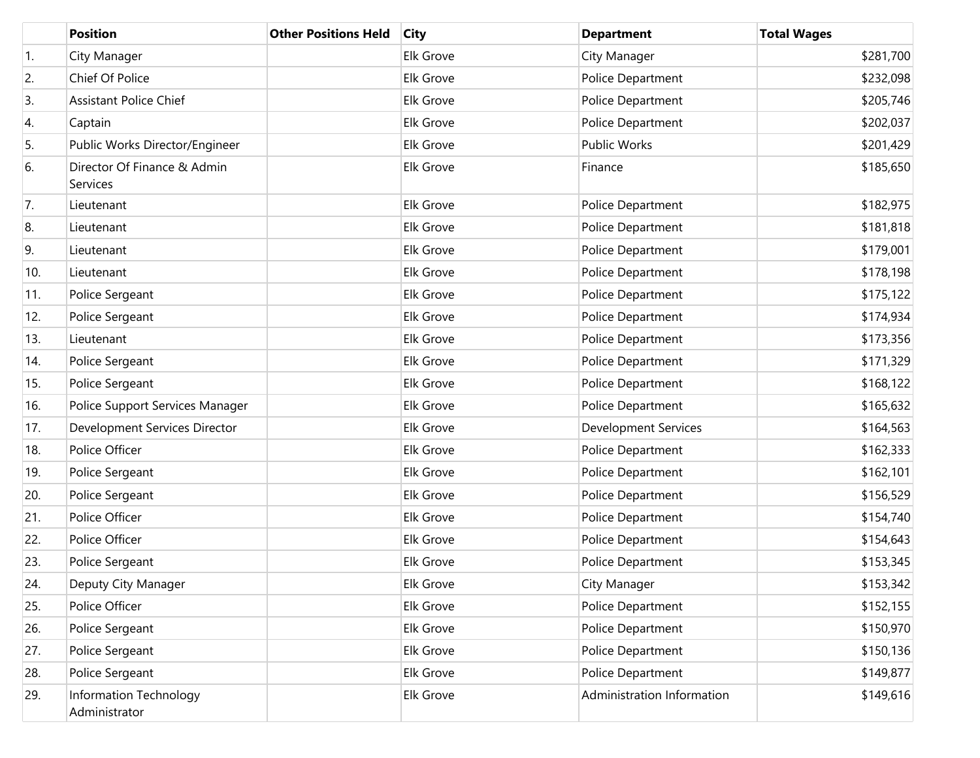|     | <b>Position</b>                         | <b>Other Positions Held</b> | <b>City</b>      | <b>Department</b>           | <b>Total Wages</b> |
|-----|-----------------------------------------|-----------------------------|------------------|-----------------------------|--------------------|
| 1.  | City Manager                            |                             | Elk Grove        | City Manager                | \$281,700          |
| 2.  | Chief Of Police                         |                             | <b>Elk Grove</b> | Police Department           | \$232,098          |
| 3.  | <b>Assistant Police Chief</b>           |                             | Elk Grove        | Police Department           | \$205,746          |
| 4.  | Captain                                 |                             | Elk Grove        | Police Department           | \$202,037          |
| 5.  | Public Works Director/Engineer          |                             | Elk Grove        | <b>Public Works</b>         | \$201,429          |
| 6.  | Director Of Finance & Admin<br>Services |                             | Elk Grove        | Finance                     | \$185,650          |
| 7.  | Lieutenant                              |                             | Elk Grove        | Police Department           | \$182,975          |
| 8.  | Lieutenant                              |                             | Elk Grove        | Police Department           | \$181,818          |
| 9.  | Lieutenant                              |                             | Elk Grove        | Police Department           | \$179,001          |
| 10. | Lieutenant                              |                             | Elk Grove        | Police Department           | \$178,198          |
| 11. | Police Sergeant                         |                             | Elk Grove        | Police Department           | \$175,122          |
| 12. | Police Sergeant                         |                             | Elk Grove        | Police Department           | \$174,934          |
| 13. | Lieutenant                              |                             | Elk Grove        | Police Department           | \$173,356          |
| 14. | Police Sergeant                         |                             | Elk Grove        | Police Department           | \$171,329          |
| 15. | Police Sergeant                         |                             | Elk Grove        | Police Department           | \$168,122          |
| 16. | Police Support Services Manager         |                             | Elk Grove        | Police Department           | \$165,632          |
| 17. | Development Services Director           |                             | Elk Grove        | <b>Development Services</b> | \$164,563          |
| 18. | Police Officer                          |                             | Elk Grove        | Police Department           | \$162,333          |
| 19. | Police Sergeant                         |                             | Elk Grove        | Police Department           | \$162,101          |
| 20. | Police Sergeant                         |                             | Elk Grove        | Police Department           | \$156,529          |
| 21. | Police Officer                          |                             | Elk Grove        | Police Department           | \$154,740          |
| 22. | Police Officer                          |                             | Elk Grove        | Police Department           | \$154,643          |
| 23. | Police Sergeant                         |                             | Elk Grove        | Police Department           | \$153,345          |
| 24. | Deputy City Manager                     |                             | Elk Grove        | City Manager                | \$153,342          |
| 25. | Police Officer                          |                             | Elk Grove        | Police Department           | \$152,155          |
| 26. | Police Sergeant                         |                             | Elk Grove        | Police Department           | \$150,970          |
| 27. | Police Sergeant                         |                             | Elk Grove        | Police Department           | \$150,136          |
| 28. | Police Sergeant                         |                             | Elk Grove        | Police Department           | \$149,877          |
| 29. | Information Technology<br>Administrator |                             | Elk Grove        | Administration Information  | \$149,616          |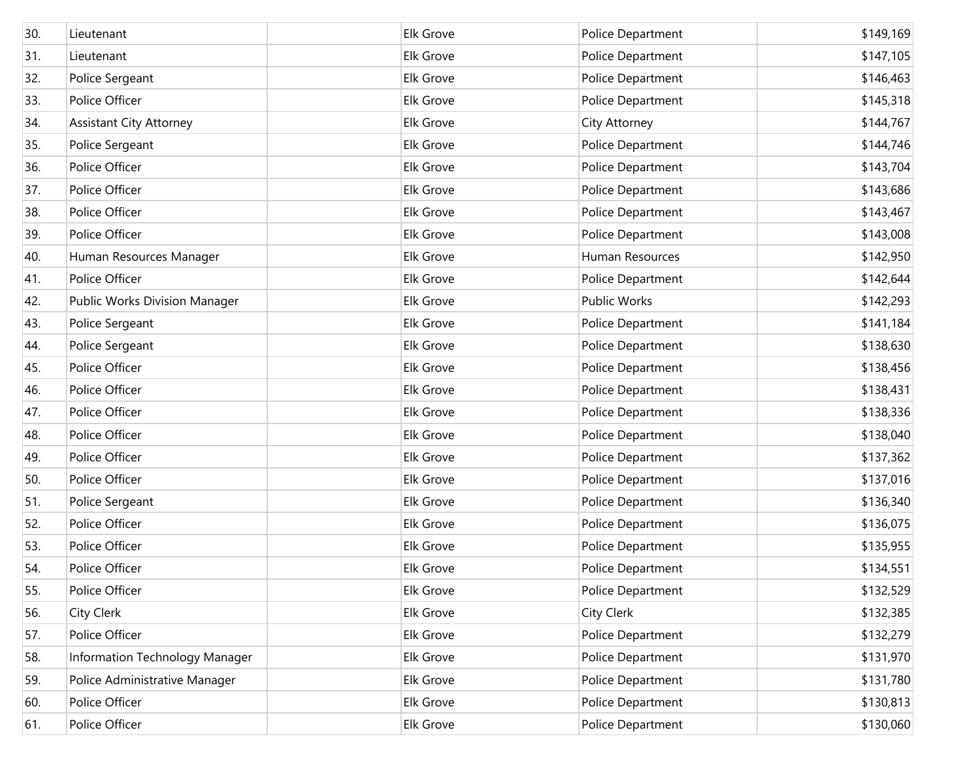| 30. | Lieutenant                     | Elk Grove        | Police Department | \$149,169 |
|-----|--------------------------------|------------------|-------------------|-----------|
| 31. | Lieutenant                     | Elk Grove        | Police Department | \$147,105 |
| 32. | Police Sergeant                | Elk Grove        | Police Department | \$146,463 |
| 33. | Police Officer                 | Elk Grove        | Police Department | \$145,318 |
| 34. | <b>Assistant City Attorney</b> | Elk Grove        | City Attorney     | \$144,767 |
| 35. | Police Sergeant                | Elk Grove        | Police Department | \$144,746 |
| 36. | Police Officer                 | Elk Grove        | Police Department | \$143,704 |
| 37. | Police Officer                 | Elk Grove        | Police Department | \$143,686 |
| 38. | Police Officer                 | Elk Grove        | Police Department | \$143,467 |
| 39. | Police Officer                 | Elk Grove        | Police Department | \$143,008 |
| 40. | Human Resources Manager        | Elk Grove        | Human Resources   | \$142,950 |
| 41. | Police Officer                 | <b>Elk Grove</b> | Police Department | \$142,644 |
| 42. | Public Works Division Manager  | Elk Grove        | Public Works      | \$142,293 |
| 43. | Police Sergeant                | Elk Grove        | Police Department | \$141,184 |
| 44. | Police Sergeant                | Elk Grove        | Police Department | \$138,630 |
| 45. | Police Officer                 | Elk Grove        | Police Department | \$138,456 |
| 46. | Police Officer                 | <b>Elk Grove</b> | Police Department | \$138,431 |
| 47. | Police Officer                 | Elk Grove        | Police Department | \$138,336 |
| 48. | Police Officer                 | Elk Grove        | Police Department | \$138,040 |
| 49. | Police Officer                 | Elk Grove        | Police Department | \$137,362 |
| 50. | Police Officer                 | Elk Grove        | Police Department | \$137,016 |
| 51. | Police Sergeant                | Elk Grove        | Police Department | \$136,340 |
| 52. | Police Officer                 | Elk Grove        | Police Department | \$136,075 |
| 53. | Police Officer                 | Elk Grove        | Police Department | \$135,955 |
| 54. | Police Officer                 | Elk Grove        | Police Department | \$134,551 |
| 55. | Police Officer                 | Elk Grove        | Police Department | \$132,529 |
| 56. | <b>City Clerk</b>              | Elk Grove        | City Clerk        | \$132,385 |
| 57. | Police Officer                 | Elk Grove        | Police Department | \$132,279 |
| 58. | Information Technology Manager | Elk Grove        | Police Department | \$131,970 |
| 59. | Police Administrative Manager  | Elk Grove        | Police Department | \$131,780 |
| 60. | Police Officer                 | Elk Grove        | Police Department | \$130,813 |
| 61. | Police Officer                 | Elk Grove        | Police Department | \$130,060 |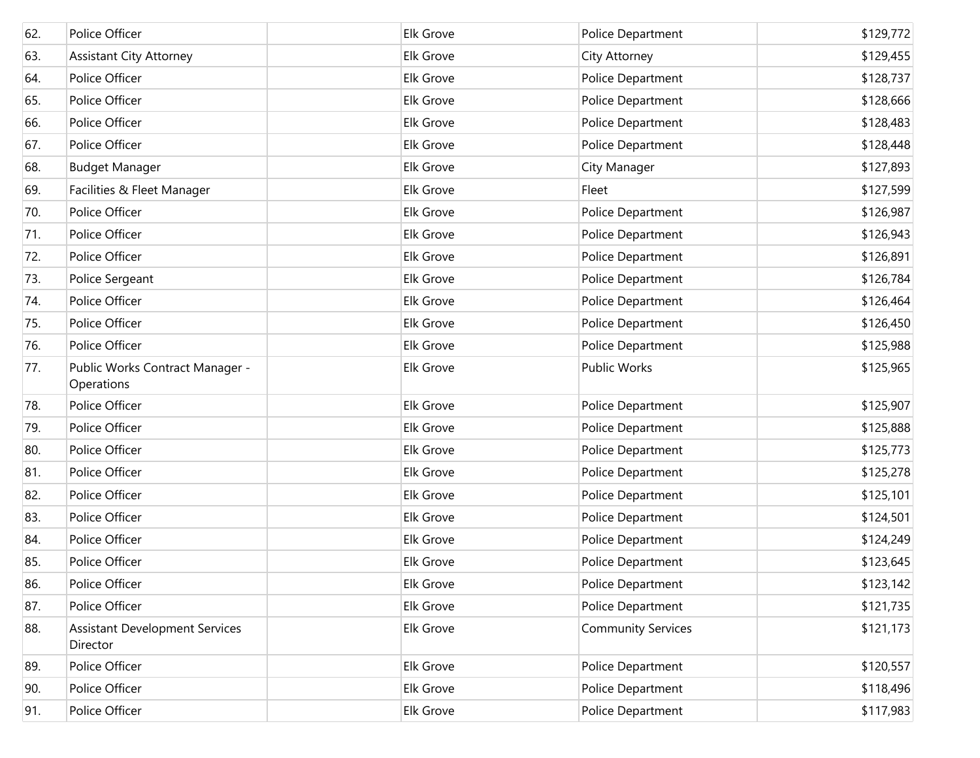| 62. | Police Officer                                    | Elk Grove        | Police Department         | \$129,772 |
|-----|---------------------------------------------------|------------------|---------------------------|-----------|
| 63. | <b>Assistant City Attorney</b>                    | Elk Grove        | City Attorney             | \$129,455 |
| 64. | Police Officer                                    | Elk Grove        | Police Department         | \$128,737 |
| 65. | Police Officer                                    | Elk Grove        | Police Department         | \$128,666 |
| 66. | Police Officer                                    | Elk Grove        | Police Department         | \$128,483 |
| 67. | Police Officer                                    | Elk Grove        | Police Department         | \$128,448 |
| 68. | <b>Budget Manager</b>                             | Elk Grove        | City Manager              | \$127,893 |
| 69. | Facilities & Fleet Manager                        | Elk Grove        | Fleet                     | \$127,599 |
| 70. | Police Officer                                    | Elk Grove        | Police Department         | \$126,987 |
| 71. | Police Officer                                    | Elk Grove        | Police Department         | \$126,943 |
| 72. | Police Officer                                    | Elk Grove        | Police Department         | \$126,891 |
| 73. | Police Sergeant                                   | Elk Grove        | Police Department         | \$126,784 |
| 74. | Police Officer                                    | <b>Elk Grove</b> | Police Department         | \$126,464 |
| 75. | Police Officer                                    | Elk Grove        | Police Department         | \$126,450 |
| 76. | Police Officer                                    | <b>Elk Grove</b> | Police Department         | \$125,988 |
| 77. | Public Works Contract Manager -<br>Operations     | Elk Grove        | <b>Public Works</b>       | \$125,965 |
| 78. | Police Officer                                    | Elk Grove        | Police Department         | \$125,907 |
| 79. | Police Officer                                    | Elk Grove        | Police Department         | \$125,888 |
| 80. | Police Officer                                    | Elk Grove        | Police Department         | \$125,773 |
| 81. | Police Officer                                    | Elk Grove        | Police Department         | \$125,278 |
| 82. | Police Officer                                    | Elk Grove        | Police Department         | \$125,101 |
| 83. | Police Officer                                    | Elk Grove        | Police Department         | \$124,501 |
| 84. | Police Officer                                    | Elk Grove        | Police Department         | \$124,249 |
| 85. | Police Officer                                    | <b>Elk Grove</b> | Police Department         | \$123,645 |
| 86. | Police Officer                                    | Elk Grove        | Police Department         | \$123,142 |
| 87. | Police Officer                                    | Elk Grove        | Police Department         | \$121,735 |
| 88. | <b>Assistant Development Services</b><br>Director | Elk Grove        | <b>Community Services</b> | \$121,173 |
| 89. | Police Officer                                    | Elk Grove        | Police Department         | \$120,557 |
| 90. | Police Officer                                    | Elk Grove        | Police Department         | \$118,496 |
| 91. | Police Officer                                    | Elk Grove        | Police Department         | \$117,983 |